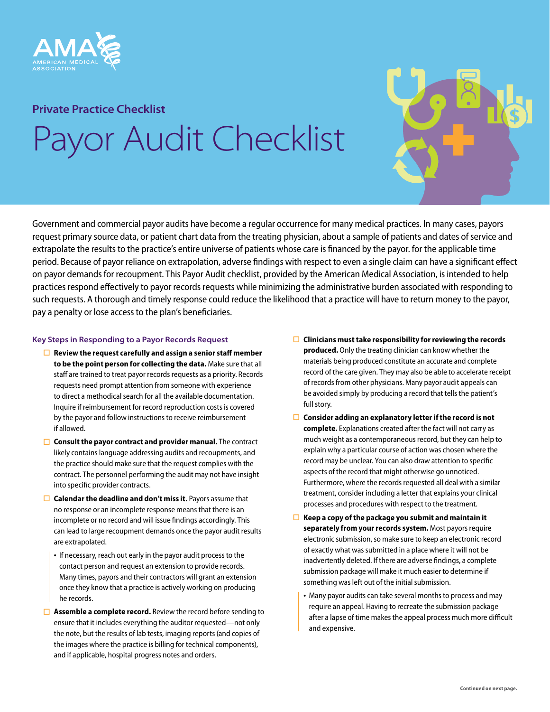

## **Private Practice Checklist**

# Payor Audit Checklist



### **Key Steps in Responding to a Payor Records Request**

- **Review the request carefully and assign a senior staff member to be the point person for collecting the data.** Make sure that all staff are trained to treat payor records requests as a priority. Records requests need prompt attention from someone with experience to direct a methodical search for all the available documentation. Inquire if reimbursement for record reproduction costs is covered by the payor and follow instructions to receive reimbursement if allowed.
- **□** Consult the payor contract and provider manual. The contract likely contains language addressing audits and recoupments, and the practice should make sure that the request complies with the contract. The personnel performing the audit may not have insight into specific provider contracts.
- **Calendar the deadline and don't miss it.** Payors assume that no response or an incomplete response means that there is an incomplete or no record and will issue findings accordingly. This can lead to large recoupment demands once the payor audit results are extrapolated.
	- If necessary, reach out early in the payor audit process to the contact person and request an extension to provide records. Many times, payors and their contractors will grant an extension once they know that a practice is actively working on producing he records.
- **Assemble a complete record.** Review the record before sending to ensure that it includes everything the auditor requested—not only the note, but the results of lab tests, imaging reports (and copies of the images where the practice is billing for technical components), and if applicable, hospital progress notes and orders.
- **Clinicians must take responsibility for reviewing the records produced.** Only the treating clinician can know whether the materials being produced constitute an accurate and complete record of the care given. They may also be able to accelerate receipt of records from other physicians. Many payor audit appeals can be avoided simply by producing a record that tells the patient's full story.
- **Consider adding an explanatory letter if the record is not complete.** Explanations created after the fact will not carry as much weight as a contemporaneous record, but they can help to explain why a particular course of action was chosen where the record may be unclear. You can also draw attention to specific aspects of the record that might otherwise go unnoticed. Furthermore, where the records requested all deal with a similar treatment, consider including a letter that explains your clinical processes and procedures with respect to the treatment.
- **Keep a copy of the package you submit and maintain it separately from your records system.** Most payors require electronic submission, so make sure to keep an electronic record of exactly what was submitted in a place where it will not be inadvertently deleted. If there are adverse findings, a complete submission package will make it much easier to determine if something was left out of the initial submission.
	- Many payor audits can take several months to process and may require an appeal. Having to recreate the submission package after a lapse of time makes the appeal process much more difficult and expensive.